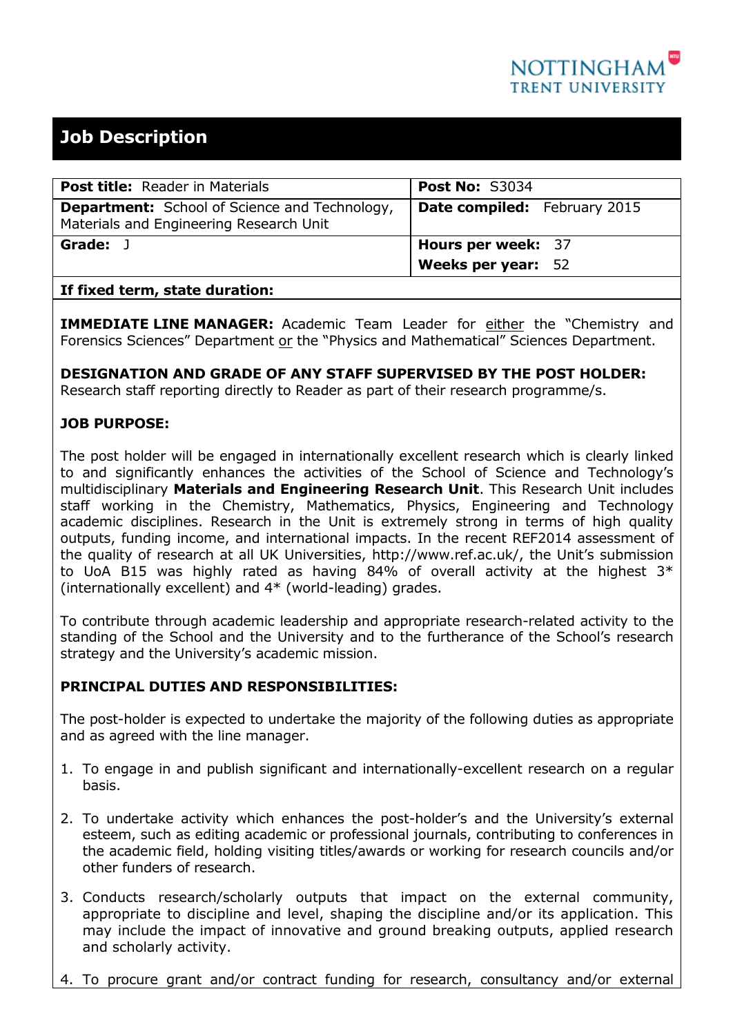

# **Job Description**

| <b>Post title:</b> Reader in Materials                                                          | <b>Post No: S3034</b>               |
|-------------------------------------------------------------------------------------------------|-------------------------------------|
| <b>Department:</b> School of Science and Technology,<br>Materials and Engineering Research Unit | <b>Date compiled:</b> February 2015 |
| Grade:                                                                                          | <b>Hours per week: 37</b>           |
|                                                                                                 | <b>Weeks per year: 52</b>           |
|                                                                                                 |                                     |

## **If fixed term, state duration:**

**IMMEDIATE LINE MANAGER:** Academic Team Leader for either the "Chemistry and Forensics Sciences" Department or the "Physics and Mathematical" Sciences Department.

**DESIGNATION AND GRADE OF ANY STAFF SUPERVISED BY THE POST HOLDER:**

Research staff reporting directly to Reader as part of their research programme/s.

## **JOB PURPOSE:**

The post holder will be engaged in internationally excellent research which is clearly linked to and significantly enhances the activities of the School of Science and Technology's multidisciplinary **Materials and Engineering Research Unit**. This Research Unit includes staff working in the Chemistry, Mathematics, Physics, Engineering and Technology academic disciplines. Research in the Unit is extremely strong in terms of high quality outputs, funding income, and international impacts. In the recent REF2014 assessment of the quality of research at all UK Universities, http://www.ref.ac.uk/, the Unit's submission to UoA B15 was highly rated as having 84% of overall activity at the highest  $3*$ (internationally excellent) and 4\* (world-leading) grades.

To contribute through academic leadership and appropriate research-related activity to the standing of the School and the University and to the furtherance of the School's research strategy and the University's academic mission.

## **PRINCIPAL DUTIES AND RESPONSIBILITIES:**

The post-holder is expected to undertake the majority of the following duties as appropriate and as agreed with the line manager.

- 1. To engage in and publish significant and internationally-excellent research on a regular basis.
- 2. To undertake activity which enhances the post-holder's and the University's external esteem, such as editing academic or professional journals, contributing to conferences in the academic field, holding visiting titles/awards or working for research councils and/or other funders of research.
- 3. Conducts research/scholarly outputs that impact on the external community, appropriate to discipline and level, shaping the discipline and/or its application. This may include the impact of innovative and ground breaking outputs, applied research and scholarly activity.
- 4. To procure grant and/or contract funding for research, consultancy and/or external